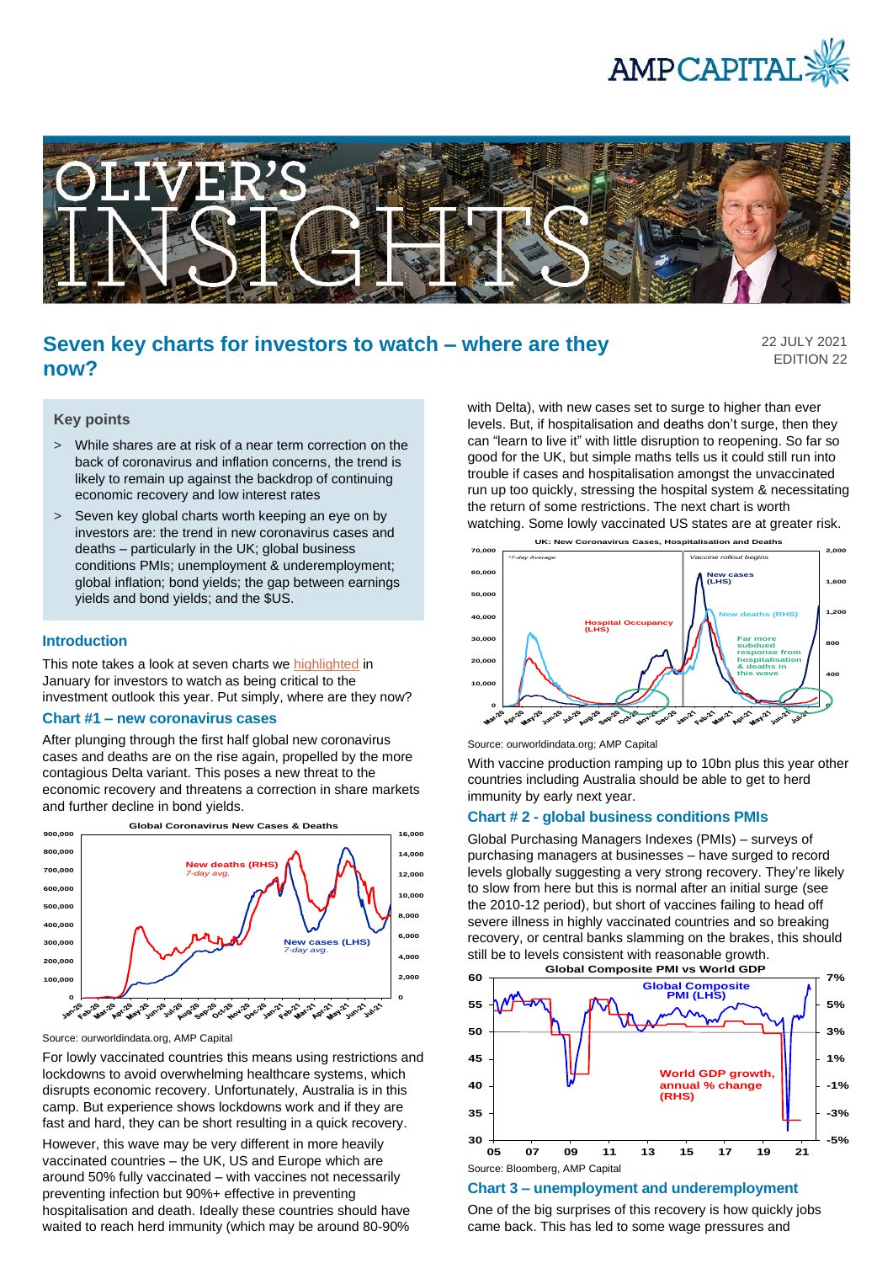



# **Seven key charts for investors to watch – where are they now?**

22 JULY 2021 EDITION 22

#### **Key points**

- > While shares are at risk of a near term correction on the back of coronavirus and inflation concerns, the trend is likely to remain up against the backdrop of continuing economic recovery and low interest rates
- > Seven key global charts worth keeping an eye on by investors are: the trend in new coronavirus cases and deaths – particularly in the UK; global business conditions PMIs; unemployment & underemployment; global inflation; bond yields; the gap between earnings yields and bond yields; and the \$US.

### **Introduction**

This note takes a look at seven charts we [highlighted](https://www.ampcapital.com/au/en/insights-hub/articles/2021/january/seven-key-charts-for-investors-to-watch-regarding-the-global-economy-and-investment-markets-this-year?csid=1012228073) in January for investors to watch as being critical to the investment outlook this year. Put simply, where are they now?

#### **Chart #1 – new coronavirus cases**

After plunging through the first half global new coronavirus cases and deaths are on the rise again, propelled by the more contagious Delta variant. This poses a new threat to the economic recovery and threatens a correction in share markets and further decline in bond yields.



Source: ourworldindata.org, AMP Capital

For lowly vaccinated countries this means using restrictions and lockdowns to avoid overwhelming healthcare systems, which disrupts economic recovery. Unfortunately, Australia is in this camp. But experience shows lockdowns work and if they are fast and hard, they can be short resulting in a quick recovery.

However, this wave may be very different in more heavily vaccinated countries – the UK, US and Europe which are around 50% fully vaccinated – with vaccines not necessarily preventing infection but 90%+ effective in preventing hospitalisation and death. Ideally these countries should have waited to reach herd immunity (which may be around 80-90% with Delta), with new cases set to surge to higher than ever levels. But, if hospitalisation and deaths don't surge, then they can "learn to live it" with little disruption to reopening. So far so good for the UK, but simple maths tells us it could still run into trouble if cases and hospitalisation amongst the unvaccinated run up too quickly, stressing the hospital system & necessitating the return of some restrictions. The next chart is worth watching. Some lowly vaccinated US states are at greater risk.



Source: ourworldindata.org; AMP Capital

With vaccine production ramping up to 10bn plus this year other countries including Australia should be able to get to herd immunity by early next year.

## **Chart # 2 - global business conditions PMIs**

Global Purchasing Managers Indexes (PMIs) – surveys of purchasing managers at businesses – have surged to record levels globally suggesting a very strong recovery. They're likely to slow from here but this is normal after an initial surge (see the 2010-12 period), but short of vaccines failing to head off severe illness in highly vaccinated countries and so breaking recovery, or central banks slamming on the brakes, this should still be to levels consistent with reasonable growth. **Global Composite PMI vs World GDP**



# **Chart 3 – unemployment and underemployment**

One of the big surprises of this recovery is how quickly jobs came back. This has led to some wage pressures and